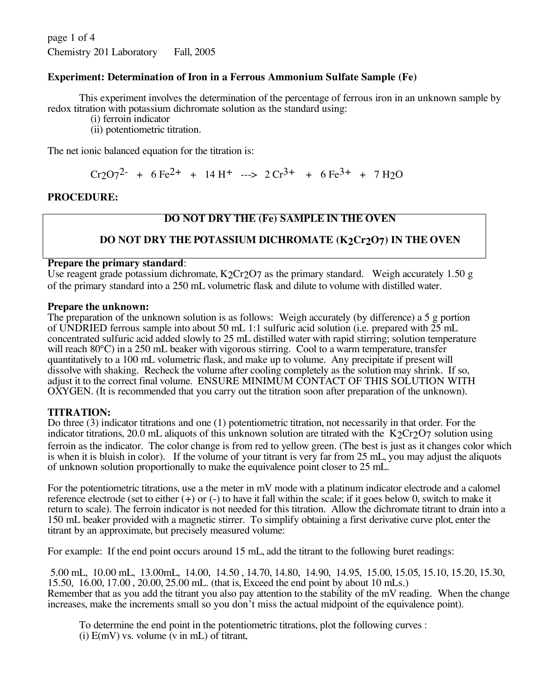page 1 of 4 Chemistry 201 Laboratory Fall, 2005

# **Experiment: Determination of Iron in a Ferrous Ammonium Sulfate Sample (Fe)**

This experiment involves the determination of the percentage of ferrous iron in an unknown sample by redox titration with potassium dichromate solution as the standard using:

(i) ferroin indicator

(ii) potentiometric titration.

The net ionic balanced equation for the titration is:

 $Cr2O7^2$  + 6 Fe<sup>2+</sup> + 14 H<sup>+</sup> ---> 2  $Cr^{3+}$  + 6 Fe<sup>3+</sup> + 7 H<sub>2</sub>O

## **PROCEDURE:**

# **DO NOT DRY THE (Fe) SAMPLE IN THE OVEN**

# **DO NOT DRY THE POTASSIUM DICHROMATE (K2Cr2O7) IN THE OVEN**

### **Prepare the primary standard**:

Use reagent grade potassium dichromate,  $K_2Cr_2O7$  as the primary standard. Weigh accurately 1.50 g of the primary standard into a 250 mL volumetric flask and dilute to volume with distilled water.

#### **Prepare the unknown:**

The preparation of the unknown solution is as follows: Weigh accurately (by difference) a 5 g portion of UNDRIED ferrous sample into about 50 mL 1:1 sulfuric acid solution (i.e. prepared with 25 mL concentrated sulfuric acid added slowly to 25 mL distilled water with rapid stirring; solution temperature will reach 80°C) in a 250 mL beaker with vigorous stirring. Cool to a warm temperature, transfer quantitatively to a 100 mL volumetric flask, and make up to volume. Any precipitate if present will dissolve with shaking. Recheck the volume after cooling completely as the solution may shrink. If so, adjust it to the correct final volume. ENSURE MINIMUM CONTACT OF THIS SOLUTION WITH OXYGEN. (It is recommended that you carry out the titration soon after preparation of the unknown).

### **TITRATION:**

Do three (3) indicator titrations and one (1) potentiometric titration, not necessarily in that order. For the indicator titrations, 20.0 mL aliquots of this unknown solution are titrated with the K2Cr2O7 solution using ferroin as the indicator. The color change is from red to yellow green. (The best is just as it changes color which is when it is bluish in color). If the volume of your titrant is very far from 25 mL, you may adjust the aliquots of unknown solution proportionally to make the equivalence point closer to 25 mL.

For the potentiometric titrations, use a the meter in mV mode with a platinum indicator electrode and a calomel reference electrode (set to either (+) or (-) to have it fall within the scale; if it goes below 0, switch to make it return to scale). The ferroin indicator is not needed for this titration. Allow the dichromate titrant to drain into a 150 mL beaker provided with a magnetic stirrer. To simplify obtaining a first derivative curve plot, enter the titrant by an approximate, but precisely measured volume:

For example: If the end point occurs around 15 mL, add the titrant to the following buret readings:

5.00 mL, 10.00 mL, 13.00mL, 14.00, 14.50 , 14.70, 14.80, 14.90, 14.95, 15.00, 15.05, 15.10, 15.20, 15.30, 15.50, 16.00, 17.00 , 20.00, 25.00 mL. (that is, Exceed the end point by about 10 mLs.) Remember that as you add the titrant you also pay attention to the stability of the mV reading. When the change increases, make the increments small so you don't miss the actual midpoint of the equivalence point).

To determine the end point in the potentiometric titrations, plot the following curves : (i)  $E(mV)$  vs. volume (v in mL) of titrant,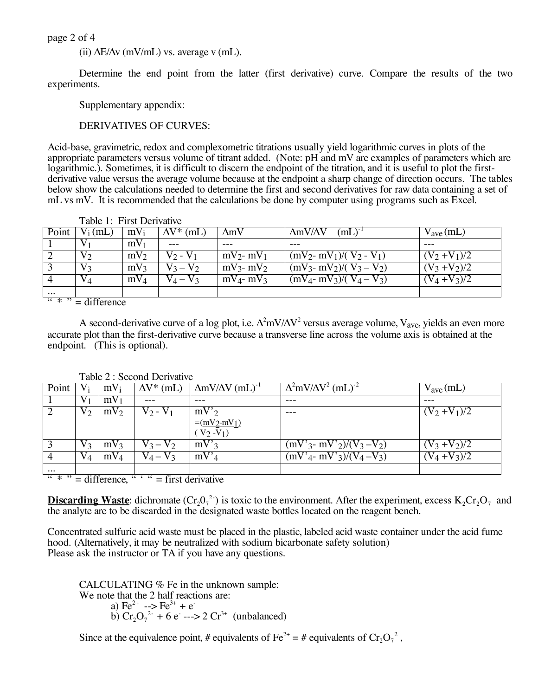page 2 of 4

(ii)  $\Delta E/\Delta v$  (mV/mL) vs. average v (mL).

Determine the end point from the latter (first derivative) curve. Compare the results of the two experiments.

Supplementary appendix:

DERIVATIVES OF CURVES:

Acid-base, gravimetric, redox and complexometric titrations usually yield logarithmic curves in plots of the appropriate parameters versus volume of titrant added. (Note: pH and mV are examples of parameters which are logarithmic.). Sometimes, it is difficult to discern the endpoint of the titration, and it is useful to plot the firstderivative value versus the average volume because at the endpoint a sharp change of direction occurs. The tables below show the calculations needed to determine the first and second derivatives for raw data containing a set of mL vs mV. It is recommended that the calculations be done by computer using programs such as Excel.

|                                  | Table 1: First Derivative |                 |                   |                 |                               |                      |  |  |
|----------------------------------|---------------------------|-----------------|-------------------|-----------------|-------------------------------|----------------------|--|--|
| Point                            | $V_i$ (mL)                | $mV_i$          | $\Delta V^*$ (mL) | $\Delta mV$     | $\Delta m V/\Delta V$<br>(mL) | $V_{\text{ave}}(mL)$ |  |  |
|                                  |                           | mV <sub>1</sub> |                   |                 |                               |                      |  |  |
|                                  | v 2                       | $mV_2$          | $V \gamma$ -      | $mV_2$ - $mV_1$ | $(mV_2 - mV_1)/(V_2 - V_1)$   | $(V_2 + V_1)/2$      |  |  |
|                                  | $V_3$                     | $mV_3$          | $V_2 - V_2$       | $mV_3$ - $mV_2$ | $(mV_3 - mV_2)/(V_3 - V_2)$   | $(V_3 + V_2)/2$      |  |  |
|                                  | VД                        | $mV_4$          | V <sub>3</sub>    | $mV_4$ - $mV_3$ | $(mV_4 - mV_3)/(V_4 - V_3)$   | $(y_4 + y_3)/2$      |  |  |
| $\cdots$                         |                           |                 |                   |                 |                               |                      |  |  |
| $66 \times 22$<br>$-$ difference |                           |                 |                   |                 |                               |                      |  |  |

 $* " = difference"$ 

A second-derivative curve of a log plot, i.e.  $\Delta^2$ mV/ $\Delta$ V<sup>2</sup> versus average volume, V<sub>ave</sub>, yields an even more accurate plot than the first-derivative curve because a transverse line across the volume axis is obtained at the endpoint. (This is optional).

|                                                                                                                                    | $1$ avic $2$ . Second Denvalve |                 |                             |                                          |                                             |                       |  |  |  |
|------------------------------------------------------------------------------------------------------------------------------------|--------------------------------|-----------------|-----------------------------|------------------------------------------|---------------------------------------------|-----------------------|--|--|--|
| Point                                                                                                                              |                                | $mV_i$          | $\overline{\Delta}V^*$ (mL) | $\Delta m V/\Delta V$ (mL) <sup>-1</sup> | $\Delta^2$ mV/ $\Delta$ V <sup>2</sup> (mL) | $v_{\text{ave}}$ (mL) |  |  |  |
|                                                                                                                                    |                                | mV              |                             |                                          |                                             |                       |  |  |  |
|                                                                                                                                    | V 2                            | $mV_2$          | $V_2 - V_1$                 | $mV'_{2}$                                | ---                                         | $(V_2 + V_1)/2$       |  |  |  |
|                                                                                                                                    |                                |                 |                             | $=(\frac{mV_2-mV_1}{mV_1})$              |                                             |                       |  |  |  |
|                                                                                                                                    |                                |                 |                             | $(V_2 - V_1)$                            |                                             |                       |  |  |  |
|                                                                                                                                    | V 2                            | mv <sub>3</sub> | $V_3 - V_2$                 | $mV'$ 3                                  | $(mV'_{3} - mV'_{2})/(V_{3} - V_{2})$       | $V_3 + V_2$ //2       |  |  |  |
|                                                                                                                                    | V 1                            | mV <sub>4</sub> | $V_A - V_3$                 | $mv^2$                                   | $(mV'_{4} - mV'_{3})/(V_{4} - V_{3})$       | $V_4 + V_3$ /2        |  |  |  |
| $\cdots$                                                                                                                           |                                |                 |                             |                                          |                                             |                       |  |  |  |
| $\frac{1}{16}$ $\frac{1}{16}$ $\frac{1}{12}$<br>$\frac{1}{16}$ $\frac{1}{16}$ $\frac{1}{16}$ = first derivative<br>$=$ difference, |                                |                 |                             |                                          |                                             |                       |  |  |  |

Table 2 : Second Derivative

**Discarding Waste**: dichromate  $(Cr_2O_7^2)$  is toxic to the environment. After the experiment, excess  $K_2Cr_2O_7$  and the analyte are to be discarded in the designated waste bottles located on the reagent bench.

Concentrated sulfuric acid waste must be placed in the plastic, labeled acid waste container under the acid fume hood. (Alternatively, it may be neutralized with sodium bicarbonate safety solution) Please ask the instructor or TA if you have any questions.

CALCULATING % Fe in the unknown sample: We note that the 2 half reactions are: a)  $Fe^{2+}$  -->  $Fe^{3+}$  +  $e^{-}$ b)  $Cr_2O_7^{2-} + 6 e^- \rightarrow 2 Cr^{3+}$  (unbalanced)

Since at the equivalence point, # equivalents of  $\text{Fe}^{2+} = \text{\#}$  equivalents of  $\text{Cr}_2\text{O}_7^2$ ,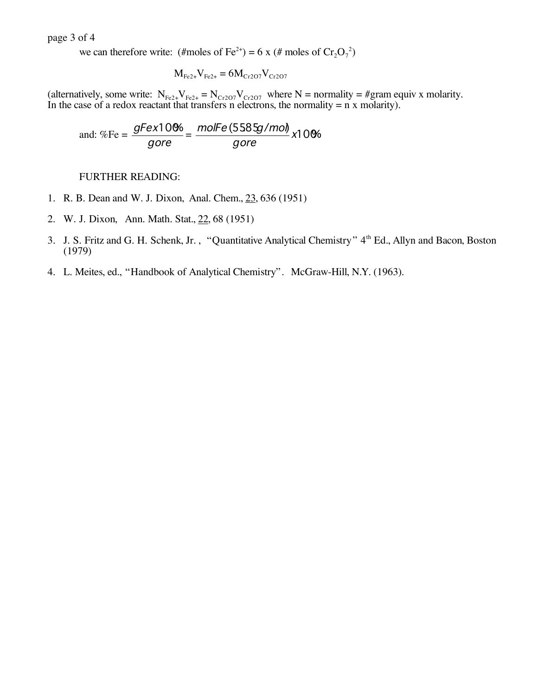page 3 of 4

we can therefore write: (#moles of Fe<sup>2+</sup>) = 6 x (# moles of  $Cr_2O_7^2$ )

$$
M_{Fe2+}V_{Fe2+} = 6M_{Cr2O7}V_{Cr2O7}
$$

(alternatively, some write:  $N_{Fe2+}V_{Fe2+} = N_{Cr2O7}V_{Cr2O7}$  where N = normality = #gram equiv x molarity. In the case of a redox reactant that transfers n electrons, the normality  $= n \times$  molarity).

and: %Fe = 
$$
\frac{gFex10\%}{gore} = \frac{molFe(558\sqrt{mol})}{gore}x10\%
$$

FURTHER READING:

- 1. R. B. Dean and W. J. Dixon, Anal. Chem., 23, 636 (1951)
- 2. W. J. Dixon, Ann. Math. Stat., 22, 68 (1951)
- 3. J. S. Fritz and G. H. Schenk, Jr., "Quantitative Analytical Chemistry" 4<sup>th</sup> Ed., Allyn and Bacon, Boston (1979)
- 4. L. Meites, ed., "Handbook of Analytical Chemistry". McGraw-Hill, N.Y. (1963).